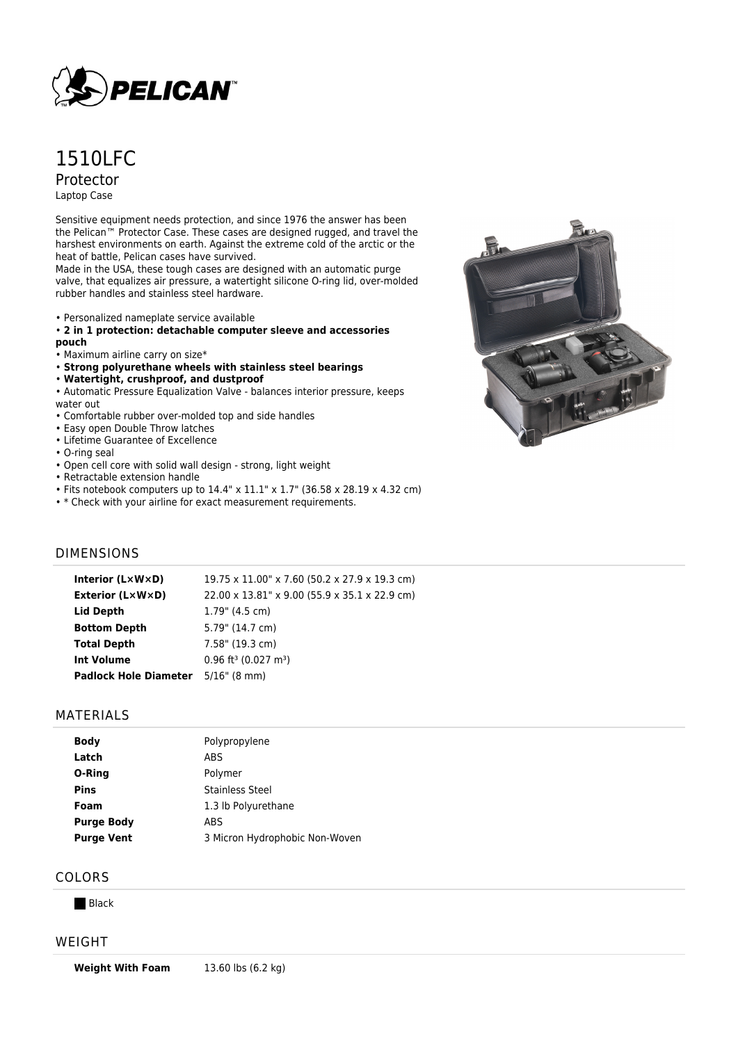

# 1510LFC Protector Laptop Case

Sensitive equipment needs protection, and since 1976 the answer has been the Pelican™ Protector Case. These cases are designed rugged, and travel the harshest environments on earth. Against the extreme cold of the arctic or the heat of battle, Pelican cases have survived.

Made in the USA, these tough cases are designed with an automatic purge valve, that equalizes air pressure, a watertight silicone O-ring lid, over-molded rubber handles and stainless steel hardware.

- Personalized nameplate service available
- **2 in 1 protection: detachable computer sleeve and accessories pouch**
- Maximum airline carry on size\*
- **Strong polyurethane wheels with stainless steel bearings**
- **Watertight, crushproof, and dustproof**
- Automatic Pressure Equalization Valve balances interior pressure, keeps water out
- Comfortable rubber over-molded top and side handles
- Easy open Double Throw latches
- Lifetime Guarantee of Excellence
- O-ring seal
- Open cell core with solid wall design strong, light weight
- Retractable extension handle
- Fits notebook computers up to 14.4" x 11.1" x 1.7" (36.58 x 28.19 x 4.32 cm)
- \* Check with your airline for exact measurement requirements.

## DIMENSIONS

| Interior (LxWxD)             | 19.75 x 11.00" x 7.60 (50.2 x 27.9 x 19.3 cm)  |
|------------------------------|------------------------------------------------|
| Exterior (L×W×D)             | 22.00 x 13.81" x 9.00 (55.9 x 35.1 x 22.9 cm)  |
| Lid Depth                    | $1.79$ " (4.5 cm)                              |
| <b>Bottom Depth</b>          | 5.79" (14.7 cm)                                |
| <b>Total Depth</b>           | 7.58" (19.3 cm)                                |
| <b>Int Volume</b>            | $0.96$ ft <sup>3</sup> (0.027 m <sup>3</sup> ) |
| <b>Padlock Hole Diameter</b> | $5/16$ " (8 mm)                                |

#### MATERIALS

| <b>Body</b>       | Polypropylene                  |
|-------------------|--------------------------------|
| Latch             | ABS                            |
| O-Ring            | Polymer                        |
| <b>Pins</b>       | <b>Stainless Steel</b>         |
| Foam              | 1.3 lb Polyurethane            |
| <b>Purge Body</b> | ABS                            |
| <b>Purge Vent</b> | 3 Micron Hydrophobic Non-Woven |
|                   |                                |

## COLORS

**Black** 

#### WEIGHT